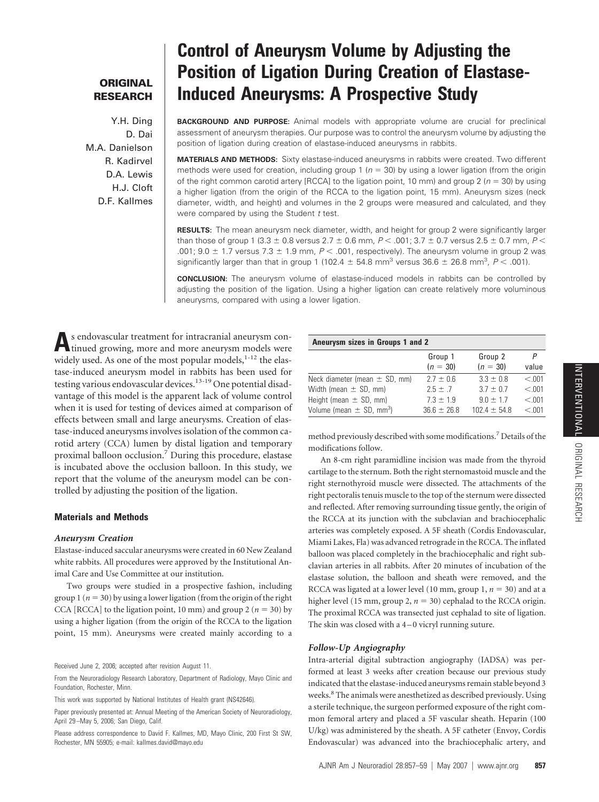# **ORIGINAL RESEARCH**

Y.H. Ding D. Dai M.A. Danielson R. Kadirvel D.A. Lewis H.J. Cloft D.F. Kallmes

# **Control of Aneurysm Volume by Adjusting the Position of Ligation During Creation of Elastase-Induced Aneurysms: A Prospective Study**

**BACKGROUND AND PURPOSE:** Animal models with appropriate volume are crucial for preclinical assessment of aneurysm therapies. Our purpose was to control the aneurysm volume by adjusting the position of ligation during creation of elastase-induced aneurysms in rabbits.

**MATERIALS AND METHODS:** Sixty elastase-induced aneurysms in rabbits were created. Two different methods were used for creation, including group 1 ( $n = 30$ ) by using a lower ligation (from the origin of the right common carotid artery [RCCA] to the ligation point, 10 mm) and group 2 ( $n = 30$ ) by using a higher ligation (from the origin of the RCCA to the ligation point, 15 mm). Aneurysm sizes (neck diameter, width, and height) and volumes in the 2 groups were measured and calculated, and they were compared by using the Student *t* test.

**RESULTS:** The mean aneurysm neck diameter, width, and height for group 2 were significantly larger than those of group 1 (3.3  $\pm$  0.8 versus 2.7  $\pm$  0.6 mm,  $P$  < .001; 3.7  $\pm$  0.7 versus 2.5  $\pm$  0.7 mm,  $P$  < .001;  $9.0 \pm 1.7$  versus  $7.3 \pm 1.9$  mm,  $P < .001$ , respectively). The aneurysm volume in group 2 was significantly larger than that in group 1 (102.4  $\pm$  54.8 mm<sup>3</sup> versus 36.6  $\pm$  26.8 mm<sup>3</sup>, P < .001).

**CONCLUSION:** The aneurysm volume of elastase-induced models in rabbits can be controlled by adjusting the position of the ligation. Using a higher ligation can create relatively more voluminous aneurysms, compared with using a lower ligation.

As endovascular treatment for intracranial aneurysm con-<br>tinued growing, more and more aneurysm models were widely used. As one of the most popular models, <sup>1-12</sup> the elastase-induced aneurysm model in rabbits has been used for testing various endovascular devices.<sup>13-19</sup> One potential disadvantage of this model is the apparent lack of volume control when it is used for testing of devices aimed at comparison of effects between small and large aneurysms. Creation of elastase-induced aneurysms involves isolation of the common carotid artery (CCA) lumen by distal ligation and temporary proximal balloon occlusion.7 During this procedure, elastase is incubated above the occlusion balloon. In this study, we report that the volume of the aneurysm model can be controlled by adjusting the position of the ligation.

# **Materials and Methods**

#### *Aneurysm Creation*

Elastase-induced saccular aneurysms were created in 60 New Zealand white rabbits. All procedures were approved by the Institutional Animal Care and Use Committee at our institution.

Two groups were studied in a prospective fashion, including group 1 ( $n = 30$ ) by using a lower ligation (from the origin of the right CCA [RCCA] to the ligation point, 10 mm) and group 2 ( $n = 30$ ) by using a higher ligation (from the origin of the RCCA to the ligation point, 15 mm). Aneurysms were created mainly according to a

Received June 2, 2006; accepted after revision August 11.

From the Neuroradiology Research Laboratory, Department of Radiology, Mayo Clinic and Foundation, Rochester, Minn.

This work was supported by National Institutes of Health grant (NS42646).

Paper previously presented at: Annual Meeting of the American Society of Neuroradiology, April 29 –May 5, 2006; San Diego, Calif.

Please address correspondence to David F. Kallmes, MD, Mayo Clinic, 200 First St SW, Rochester, MN 55905; e-mail: kallmes.david@mayo.edu

# **Aneurysm sizes in Groups 1 and 2**

|                                          | Group 1         | Group 2          | P      |
|------------------------------------------|-----------------|------------------|--------|
|                                          | $(n = 30)$      | $(n = 30)$       | value  |
| Neck diameter (mean $\pm$ SD, mm)        | $27 + 06$       | $3.3 \pm 0.8$    | < 0.01 |
| Width (mean $\pm$ SD, mm)                | $25 + 7$        | $37 + 07$        | < 0.01 |
| Height (mean $\pm$ SD, mm)               | $7.3 \pm 1.9$   | $9.0 \pm 1.7$    | < .001 |
| Volume (mean $\pm$ SD, mm <sup>3</sup> ) | $36.6 \pm 26.8$ | $102.4 \pm 54.8$ | < 0.01 |

method previously described with some modifications.7 Details of the modifications follow.

An 8-cm right paramidline incision was made from the thyroid cartilage to the sternum. Both the right sternomastoid muscle and the right sternothyroid muscle were dissected. The attachments of the right pectoralis tenuis muscle to the top of the sternum were dissected and reflected. After removing surrounding tissue gently, the origin of the RCCA at its junction with the subclavian and brachiocephalic arteries was completely exposed. A 5F sheath (Cordis Endovascular, Miami Lakes, Fla) was advanced retrograde in the RCCA. The inflated balloon was placed completely in the brachiocephalic and right subclavian arteries in all rabbits. After 20 minutes of incubation of the elastase solution, the balloon and sheath were removed, and the RCCA was ligated at a lower level (10 mm, group 1,  $n = 30$ ) and at a higher level (15 mm, group 2,  $n = 30$ ) cephalad to the RCCA origin. The proximal RCCA was transected just cephalad to site of ligation. The skin was closed with a 4-0 vicryl running suture.

# *Follow-Up Angiography*

Intra-arterial digital subtraction angiography (IADSA) was performed at least 3 weeks after creation because our previous study indicated that the elastase-induced aneurysms remain stable beyond 3 weeks.<sup>8</sup> The animals were anesthetized as described previously. Using a sterile technique, the surgeon performed exposure of the right common femoral artery and placed a 5F vascular sheath. Heparin (100 U/kg) was administered by the sheath. A 5F catheter (Envoy, Cordis Endovascular) was advanced into the brachiocephalic artery, and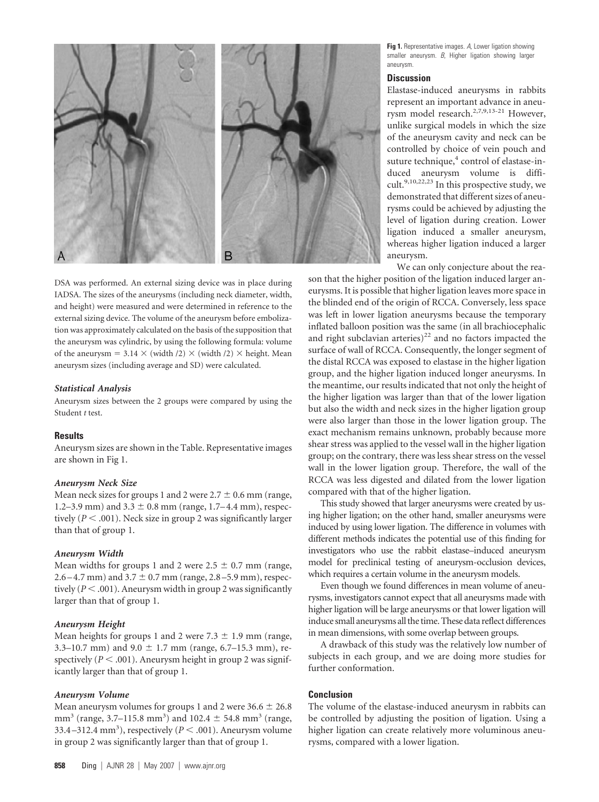

DSA was performed. An external sizing device was in place during IADSA. The sizes of the aneurysms (including neck diameter, width, and height) were measured and were determined in reference to the external sizing device. The volume of the aneurysm before embolization was approximately calculated on the basis of the supposition that the aneurysm was cylindric, by using the following formula: volume of the aneurysm = 3.14  $\times$  (width /2)  $\times$  (width /2)  $\times$  height. Mean aneurysm sizes (including average and SD) were calculated.

#### *Statistical Analysis*

Aneurysm sizes between the 2 groups were compared by using the Student *t* test.

# **Results**

Aneurysm sizes are shown in the Table. Representative images are shown in Fig 1.

# *Aneurysm Neck Size*

Mean neck sizes for groups 1 and 2 were  $2.7 \pm 0.6$  mm (range, 1.2–3.9 mm) and  $3.3 \pm 0.8$  mm (range, 1.7–4.4 mm), respectively  $(P < .001)$ . Neck size in group 2 was significantly larger than that of group 1.

# *Aneurysm Width*

Mean widths for groups 1 and 2 were  $2.5 \pm 0.7$  mm (range,  $2.6 - 4.7$  mm) and  $3.7 \pm 0.7$  mm (range,  $2.8 - 5.9$  mm), respectively  $(P < .001)$ . Aneurysm width in group 2 was significantly larger than that of group 1.

#### *Aneurysm Height*

Mean heights for groups 1 and 2 were  $7.3 \pm 1.9$  mm (range, 3.3–10.7 mm) and  $9.0 \pm 1.7$  mm (range, 6.7–15.3 mm), respectively ( $P < .001$ ). Aneurysm height in group 2 was significantly larger than that of group 1.

#### *Aneurysm Volume*

Mean aneurysm volumes for groups 1 and 2 were  $36.6 \pm 26.8$ mm<sup>3</sup> (range, 3.7–115.8 mm<sup>3</sup>) and 102.4  $\pm$  54.8 mm<sup>3</sup> (range, 33.4-312.4 mm<sup>3</sup>), respectively ( $P < .001$ ). Aneurysm volume in group 2 was significantly larger than that of group 1.

**Fig 1.** Representative images. *A*, Lower ligation showing smaller aneurysm. *B*, Higher ligation showing larger aneurysm.

#### **Discussion**

Elastase-induced aneurysms in rabbits represent an important advance in aneurysm model research.<sup>2,7,9,13-21</sup> However, unlike surgical models in which the size of the aneurysm cavity and neck can be controlled by choice of vein pouch and suture technique,<sup>4</sup> control of elastase-induced aneurysm volume is difficult.<sup>9,10,22,23</sup> In this prospective study, we demonstrated that different sizes of aneurysms could be achieved by adjusting the level of ligation during creation. Lower ligation induced a smaller aneurysm, whereas higher ligation induced a larger aneurysm.

We can only conjecture about the rea-

son that the higher position of the ligation induced larger aneurysms. It is possible that higher ligation leaves more space in the blinded end of the origin of RCCA. Conversely, less space was left in lower ligation aneurysms because the temporary inflated balloon position was the same (in all brachiocephalic and right subclavian arteries) $^{22}$  and no factors impacted the surface of wall of RCCA. Consequently, the longer segment of the distal RCCA was exposed to elastase in the higher ligation group, and the higher ligation induced longer aneurysms. In the meantime, our results indicated that not only the height of the higher ligation was larger than that of the lower ligation but also the width and neck sizes in the higher ligation group were also larger than those in the lower ligation group. The exact mechanism remains unknown, probably because more shear stress was applied to the vessel wall in the higher ligation group; on the contrary, there was less shear stress on the vessel wall in the lower ligation group. Therefore, the wall of the RCCA was less digested and dilated from the lower ligation compared with that of the higher ligation.

This study showed that larger aneurysms were created by using higher ligation; on the other hand, smaller aneurysms were induced by using lower ligation. The difference in volumes with different methods indicates the potential use of this finding for investigators who use the rabbit elastase–induced aneurysm model for preclinical testing of aneurysm-occlusion devices, which requires a certain volume in the aneurysm models.

Even though we found differences in mean volume of aneurysms, investigators cannot expect that all aneurysms made with higher ligation will be large aneurysms or that lower ligation will induce small aneurysms all the time. These data reflect differences in mean dimensions, with some overlap between groups.

A drawback of this study was the relatively low number of subjects in each group, and we are doing more studies for further conformation.

# **Conclusion**

The volume of the elastase-induced aneurysm in rabbits can be controlled by adjusting the position of ligation. Using a higher ligation can create relatively more voluminous aneurysms, compared with a lower ligation.